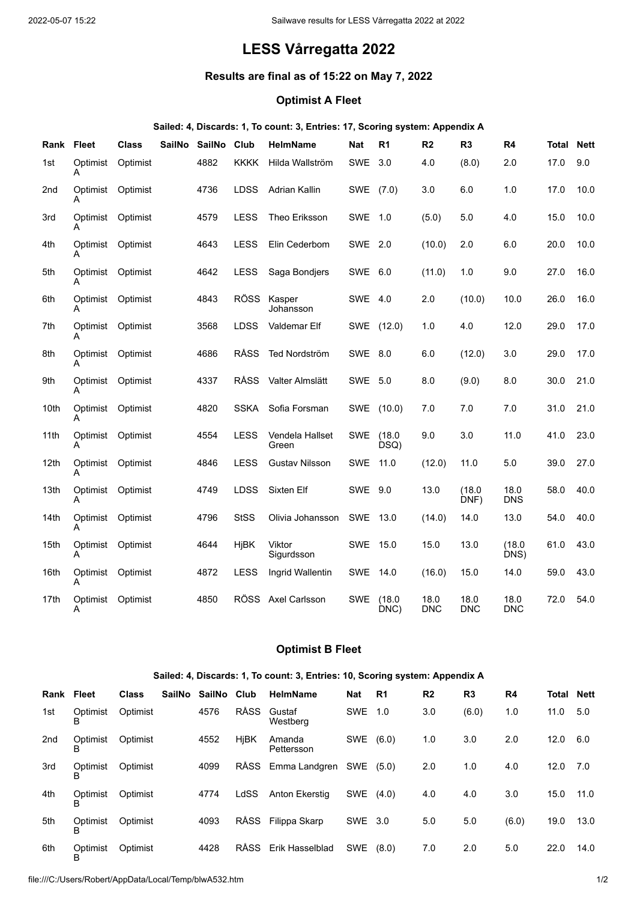# **LESS Vårregatta 2022**

## **Results are final as of 15:22 on May 7, 2022**

### **Optimist A Fleet**

#### **Sailed: 4, Discards: 1, To count: 3, Entries: 17, Scoring system: Appendix A**

| Rank             | <b>Fleet</b>  | <b>Class</b> | <b>SailNo</b> | <b>SailNo</b> | Club        | <b>HelmName</b>          | <b>Nat</b> | R <sub>1</sub> | R <sub>2</sub> | R <sub>3</sub>     | R <sub>4</sub>     | Total | <b>Nett</b> |
|------------------|---------------|--------------|---------------|---------------|-------------|--------------------------|------------|----------------|----------------|--------------------|--------------------|-------|-------------|
| 1st              | Optimist<br>Α | Optimist     |               | 4882          | <b>KKKK</b> | Hilda Wallström          | SWE        | 3.0            | 4.0            | (8.0)              | 2.0                | 17.0  | 9.0         |
| 2nd              | Optimist<br>A | Optimist     |               | 4736          | LDSS        | <b>Adrian Kallin</b>     | SWE        | (7.0)          | 3.0            | 6.0                | 1.0                | 17.0  | 10.0        |
| 3rd              | Optimist<br>A | Optimist     |               | 4579          | <b>LESS</b> | Theo Eriksson            | <b>SWE</b> | 1.0            | (5.0)          | 5.0                | 4.0                | 15.0  | 10.0        |
| 4th              | Optimist<br>A | Optimist     |               | 4643          | <b>LESS</b> | Elin Cederbom            | <b>SWE</b> | 2.0            | (10.0)         | 2.0                | 6.0                | 20.0  | 10.0        |
| 5th              | Optimist<br>A | Optimist     |               | 4642          | <b>LESS</b> | Saga Bondjers            | <b>SWE</b> | 6.0            | (11.0)         | 1.0                | 9.0                | 27.0  | 16.0        |
| 6th              | Optimist<br>А | Optimist     |               | 4843          | <b>RÖSS</b> | Kasper<br>Johansson      | SWE        | - 4.0          | 2.0            | (10.0)             | 10.0               | 26.0  | 16.0        |
| 7th              | Optimist<br>А | Optimist     |               | 3568          | LDSS        | Valdemar Elf             | SWE        | (12.0)         | 1.0            | 4.0                | 12.0               | 29.0  | 17.0        |
| 8th              | Optimist<br>Α | Optimist     |               | 4686          | <b>RÅSS</b> | Ted Nordström            | SWE 8.0    |                | 6.0            | (12.0)             | 3.0                | 29.0  | 17.0        |
| 9th              | Optimist<br>Α | Optimist     |               | 4337          | <b>RÅSS</b> | Valter Almslätt          | <b>SWE</b> | 5.0            | 8.0            | (9.0)              | 8.0                | 30.0  | 21.0        |
| 10th             | Optimist<br>A | Optimist     |               | 4820          | <b>SSKA</b> | Sofia Forsman            | <b>SWE</b> | (10.0)         | 7.0            | 7.0                | 7.0                | 31.0  | 21.0        |
| 11th             | Optimist<br>A | Optimist     |               | 4554          | <b>LESS</b> | Vendela Hallset<br>Green | <b>SWE</b> | (18.0)<br>DSQ) | 9.0            | 3.0                | 11.0               | 41.0  | 23.0        |
| 12 <sub>th</sub> | Optimist<br>А | Optimist     |               | 4846          | <b>LESS</b> | <b>Gustav Nilsson</b>    | <b>SWE</b> | 11.0           | (12.0)         | 11.0               | 5.0                | 39.0  | 27.0        |
| 13th             | Optimist<br>А | Optimist     |               | 4749          | LDSS        | Sixten Elf               | <b>SWE</b> | 9.0            | 13.0           | (18.0)<br>DNF)     | 18.0<br><b>DNS</b> | 58.0  | 40.0        |
| 14th             | Optimist<br>A | Optimist     |               | 4796          | <b>StSS</b> | Olivia Johansson         | <b>SWE</b> | 13.0           | (14.0)         | 14.0               | 13.0               | 54.0  | 40.0        |
| 15th             | Optimist<br>Α | Optimist     |               | 4644          | HjBK        | Viktor<br>Sigurdsson     | <b>SWE</b> | 15.0           | 15.0           | 13.0               | (18.0)<br>DNS)     | 61.0  | 43.0        |
| 16th             | Optimist<br>A | Optimist     |               | 4872          | LESS        | Ingrid Wallentin         | <b>SWE</b> | 14.0           | (16.0)         | 15.0               | 14.0               | 59.0  | 43.0        |
| 17th             | Optimist<br>A | Optimist     |               | 4850          | <b>ROSS</b> | Axel Carlsson            | <b>SWE</b> | (18.0)<br>DNC) | 18.0<br>DNC    | 18.0<br><b>DNC</b> | 18.0<br><b>DNC</b> | 72.0  | 54.0        |

#### **Optimist B Fleet**

#### **Sailed: 4, Discards: 1, To count: 3, Entries: 10, Scoring system: Appendix A**

| Rank | Fleet         | <b>Class</b> | SailNo SailNo | Club        | <b>HelmName</b>      | Nat        | R <sub>1</sub> | R <sub>2</sub> | R <sub>3</sub> | R4    | <b>Total Nett</b> |      |
|------|---------------|--------------|---------------|-------------|----------------------|------------|----------------|----------------|----------------|-------|-------------------|------|
| 1st  | Optimist<br>в | Optimist     | 4576          | <b>RÅSS</b> | Gustaf<br>Westberg   | <b>SWE</b> | 1.0            | 3.0            | (6.0)          | 1.0   | 11.0              | 5.0  |
| 2nd  | Optimist<br>в | Optimist     | 4552          | <b>HjBK</b> | Amanda<br>Pettersson | SWE        | (6.0)          | 1.0            | 3.0            | 2.0   | 12.0              | 6.0  |
| 3rd  | Optimist      | Optimist     | 4099          | <b>RÅSS</b> | Emma Landgren        | <b>SWE</b> | (5.0)          | 2.0            | 1.0            | 4.0   | 12.0              | 7.0  |
| 4th  | Optimist      | Optimist     | 4774          | LdSS        | Anton Ekerstig       | <b>SWE</b> | (4.0)          | 4.0            | 4.0            | 3.0   | 15.0              | 11.0 |
| 5th  | Optimist      | Optimist     | 4093          | <b>RÅSS</b> | Filippa Skarp        | SWE 3.0    |                | 5.0            | 5.0            | (6.0) | 19.0              | 13.0 |
| 6th  | Optimist<br>в | Optimist     | 4428          | <b>RÅSS</b> | Erik Hasselblad      | SWE        | (8.0)          | 7.0            | 2.0            | 5.0   | 22.0              | 14.0 |